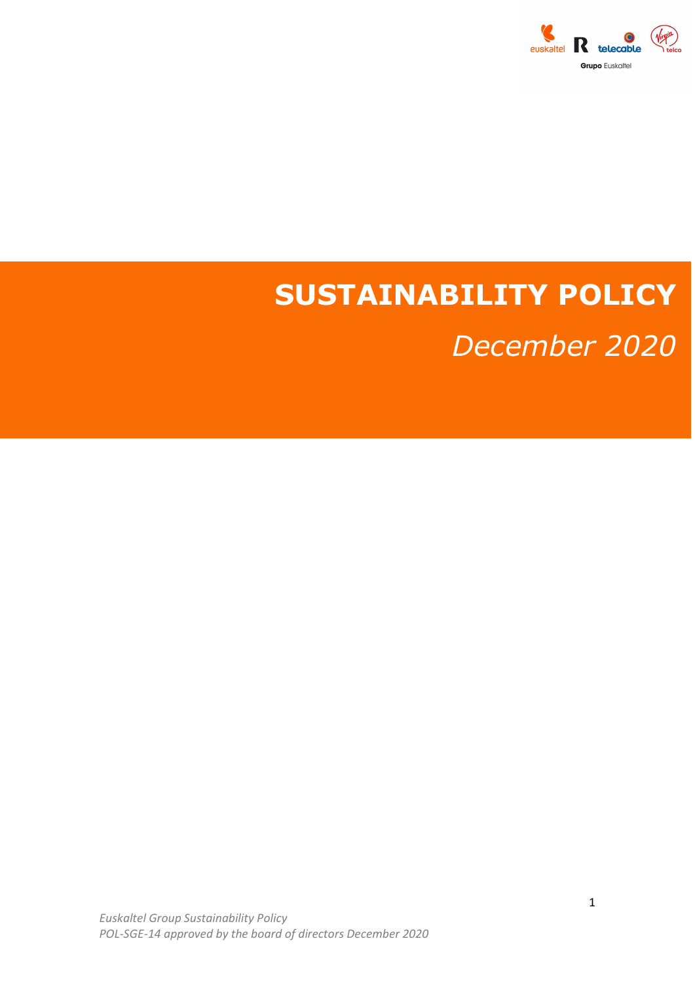

## SUSTAINABILITY POLICY

December 2020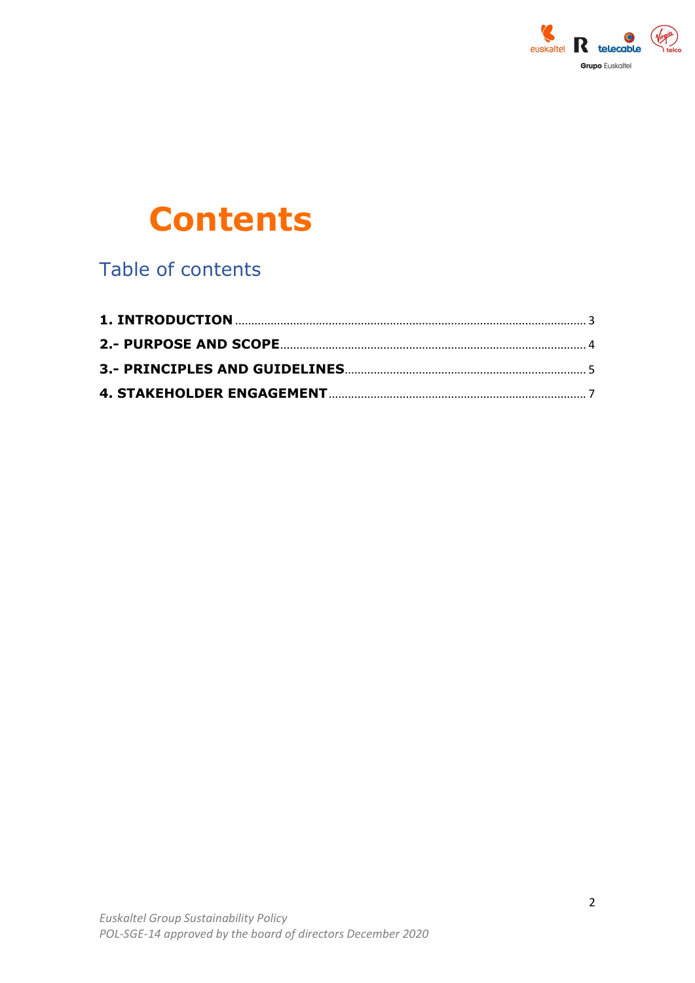

# **Contents**

Table of contents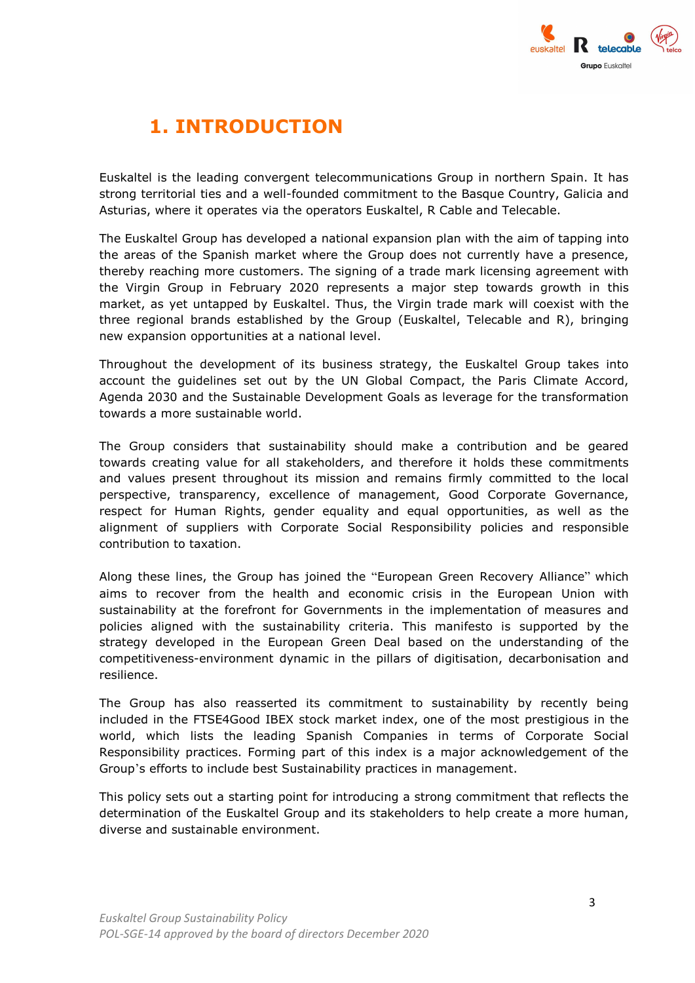

## 1. INTRODUCTION

Euskaltel is the leading convergent telecommunications Group in northern Spain. It has strong territorial ties and a well-founded commitment to the Basque Country, Galicia and Asturias, where it operates via the operators Euskaltel, R Cable and Telecable.

The Euskaltel Group has developed a national expansion plan with the aim of tapping into the areas of the Spanish market where the Group does not currently have a presence, thereby reaching more customers. The signing of a trade mark licensing agreement with the Virgin Group in February 2020 represents a major step towards growth in this market, as yet untapped by Euskaltel. Thus, the Virgin trade mark will coexist with the three regional brands established by the Group (Euskaltel, Telecable and R), bringing new expansion opportunities at a national level.

Throughout the development of its business strategy, the Euskaltel Group takes into account the guidelines set out by the UN Global Compact, the Paris Climate Accord, Agenda 2030 and the Sustainable Development Goals as leverage for the transformation towards a more sustainable world.

The Group considers that sustainability should make a contribution and be geared towards creating value for all stakeholders, and therefore it holds these commitments and values present throughout its mission and remains firmly committed to the local perspective, transparency, excellence of management, Good Corporate Governance, respect for Human Rights, gender equality and equal opportunities, as well as the alignment of suppliers with Corporate Social Responsibility policies and responsible contribution to taxation.

Along these lines, the Group has joined the "European Green Recovery Alliance" which aims to recover from the health and economic crisis in the European Union with sustainability at the forefront for Governments in the implementation of measures and policies aligned with the sustainability criteria. This manifesto is supported by the strategy developed in the European Green Deal based on the understanding of the competitiveness-environment dynamic in the pillars of digitisation, decarbonisation and resilience.

The Group has also reasserted its commitment to sustainability by recently being included in the FTSE4Good IBEX stock market index, one of the most prestigious in the world, which lists the leading Spanish Companies in terms of Corporate Social Responsibility practices. Forming part of this index is a major acknowledgement of the Group's efforts to include best Sustainability practices in management.

This policy sets out a starting point for introducing a strong commitment that reflects the determination of the Euskaltel Group and its stakeholders to help create a more human, diverse and sustainable environment.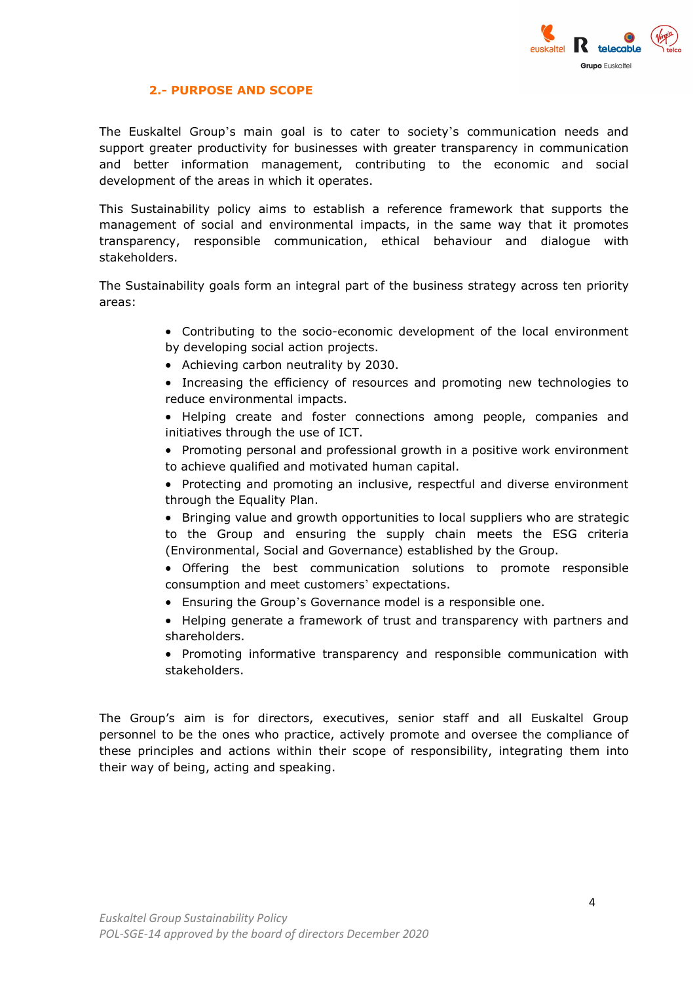

#### 2.- PURPOSE AND SCOPE

The Euskaltel Group's main goal is to cater to society's communication needs and support greater productivity for businesses with greater transparency in communication and better information management, contributing to the economic and social development of the areas in which it operates.

This Sustainability policy aims to establish a reference framework that supports the management of social and environmental impacts, in the same way that it promotes transparency, responsible communication, ethical behaviour and dialogue with stakeholders.

The Sustainability goals form an integral part of the business strategy across ten priority areas:

- Contributing to the socio-economic development of the local environment by developing social action projects.
- Achieving carbon neutrality by 2030.
- Increasing the efficiency of resources and promoting new technologies to reduce environmental impacts.
- Helping create and foster connections among people, companies and initiatives through the use of ICT.
- Promoting personal and professional growth in a positive work environment to achieve qualified and motivated human capital.
- Protecting and promoting an inclusive, respectful and diverse environment through the Equality Plan.
- Bringing value and growth opportunities to local suppliers who are strategic to the Group and ensuring the supply chain meets the ESG criteria (Environmental, Social and Governance) established by the Group.
- Offering the best communication solutions to promote responsible consumption and meet customers' expectations.
- Ensuring the Group's Governance model is a responsible one.
- Helping generate a framework of trust and transparency with partners and shareholders.
- Promoting informative transparency and responsible communication with stakeholders.

The Group's aim is for directors, executives, senior staff and all Euskaltel Group personnel to be the ones who practice, actively promote and oversee the compliance of these principles and actions within their scope of responsibility, integrating them into their way of being, acting and speaking.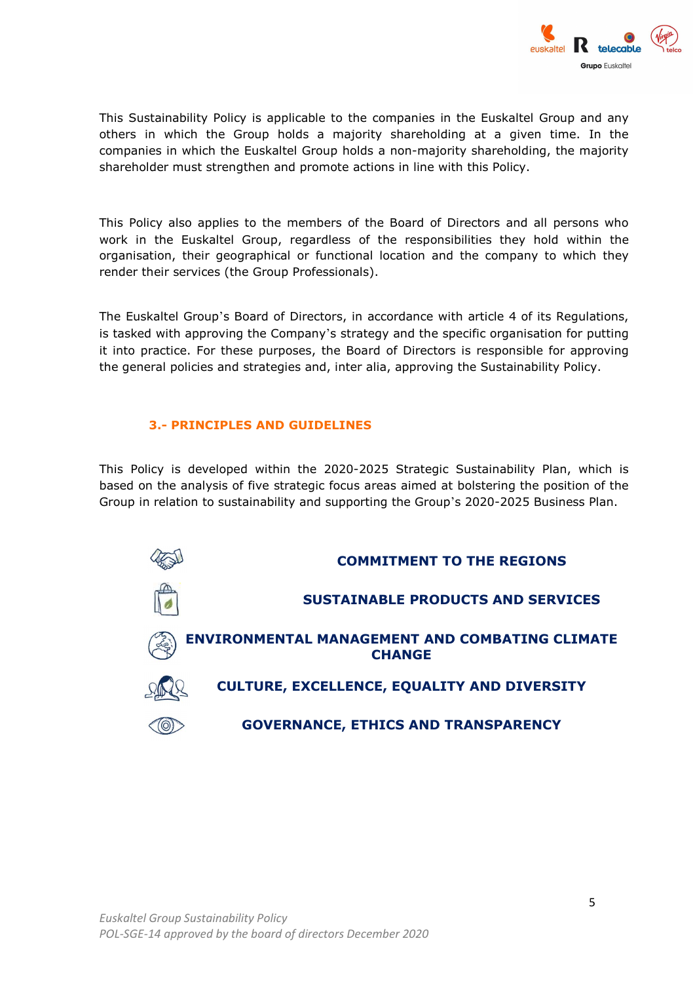

This Sustainability Policy is applicable to the companies in the Euskaltel Group and any others in which the Group holds a majority shareholding at a given time. In the companies in which the Euskaltel Group holds a non-majority shareholding, the majority shareholder must strengthen and promote actions in line with this Policy.

This Policy also applies to the members of the Board of Directors and all persons who work in the Euskaltel Group, regardless of the responsibilities they hold within the organisation, their geographical or functional location and the company to which they render their services (the Group Professionals).

The Euskaltel Group's Board of Directors, in accordance with article 4 of its Regulations, is tasked with approving the Company's strategy and the specific organisation for putting it into practice. For these purposes, the Board of Directors is responsible for approving the general policies and strategies and, inter alia, approving the Sustainability Policy.

#### 3.- PRINCIPLES AND GUIDELINES

This Policy is developed within the 2020-2025 Strategic Sustainability Plan, which is based on the analysis of five strategic focus areas aimed at bolstering the position of the Group in relation to sustainability and supporting the Group's 2020-2025 Business Plan.

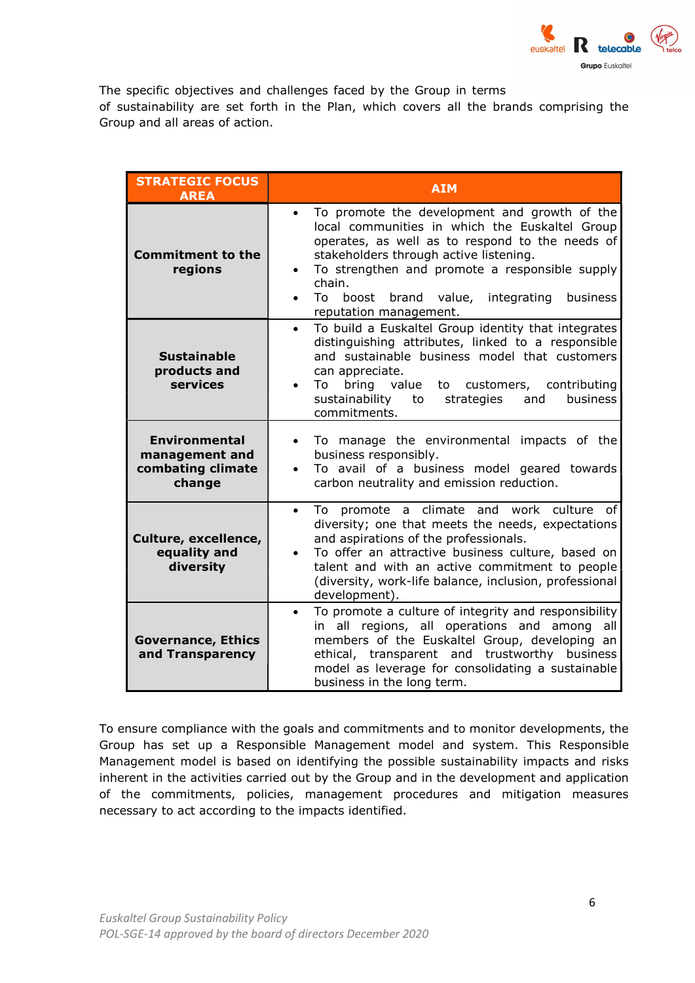

The specific objectives and challenges faced by the Group in terms of sustainability are set forth in the Plan, which covers all the brands comprising the Group and all areas of action.

| <b>STRATEGIC FOCUS</b><br><b>AREA</b>                                 | <b>AIM</b>                                                                                                                                                                                                                                                                                                                                                                       |
|-----------------------------------------------------------------------|----------------------------------------------------------------------------------------------------------------------------------------------------------------------------------------------------------------------------------------------------------------------------------------------------------------------------------------------------------------------------------|
| <b>Commitment to the</b><br>regions                                   | To promote the development and growth of the<br>$\bullet$<br>local communities in which the Euskaltel Group<br>operates, as well as to respond to the needs of<br>stakeholders through active listening.<br>To strengthen and promote a responsible supply<br>$\bullet$<br>chain.<br>brand value, integrating<br>business<br>To.<br>boost<br>$\bullet$<br>reputation management. |
| <b>Sustainable</b><br>products and<br>services                        | To build a Euskaltel Group identity that integrates<br>$\bullet$<br>distinguishing attributes, linked to a responsible<br>and sustainable business model that customers<br>can appreciate.<br>bring value<br>To<br>to customers, contributing<br>business<br>sustainability to<br>strategies<br>and<br>commitments.                                                              |
| <b>Environmental</b><br>management and<br>combating climate<br>change | To manage the environmental impacts of the<br>$\bullet$<br>business responsibly.<br>To avail of a business model geared towards<br>carbon neutrality and emission reduction.                                                                                                                                                                                                     |
| Culture, excellence,<br>equality and<br>diversity                     | To promote a climate and work culture of<br>$\bullet$<br>diversity; one that meets the needs, expectations<br>and aspirations of the professionals.<br>To offer an attractive business culture, based on<br>talent and with an active commitment to people<br>(diversity, work-life balance, inclusion, professional<br>development).                                            |
| <b>Governance, Ethics</b><br>and Transparency                         | To promote a culture of integrity and responsibility<br>$\bullet$<br>in all regions, all operations and among<br>all<br>members of the Euskaltel Group, developing an<br>ethical, transparent and trustworthy business<br>model as leverage for consolidating a sustainable<br>business in the long term.                                                                        |

To ensure compliance with the goals and commitments and to monitor developments, the Group has set up a Responsible Management model and system. This Responsible Management model is based on identifying the possible sustainability impacts and risks inherent in the activities carried out by the Group and in the development and application of the commitments, policies, management procedures and mitigation measures necessary to act according to the impacts identified.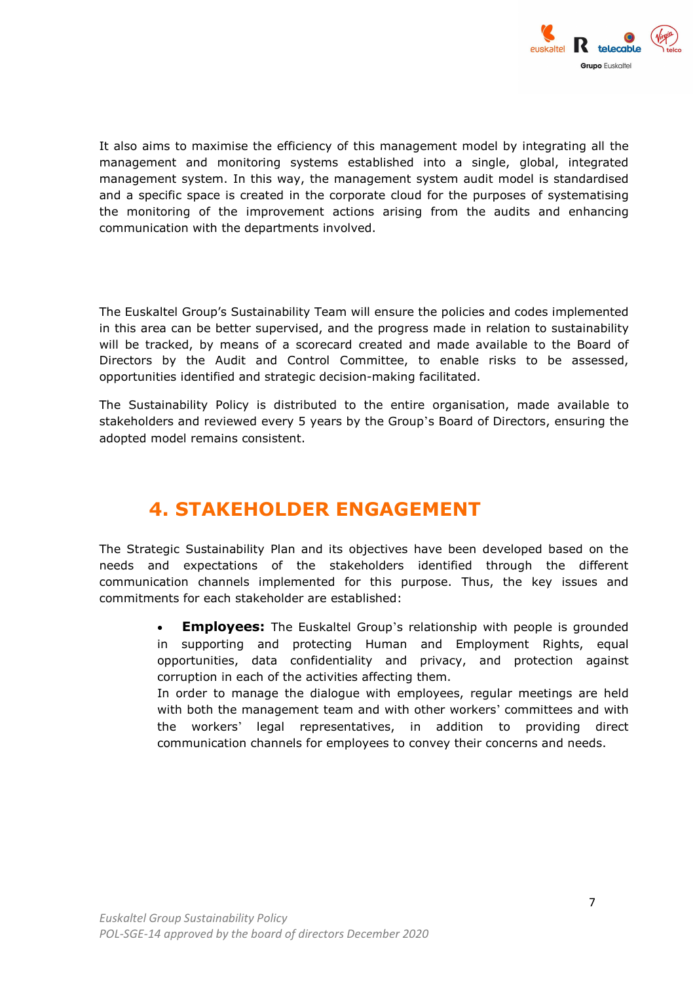

It also aims to maximise the efficiency of this management model by integrating all the management and monitoring systems established into a single, global, integrated management system. In this way, the management system audit model is standardised and a specific space is created in the corporate cloud for the purposes of systematising the monitoring of the improvement actions arising from the audits and enhancing communication with the departments involved.

The Euskaltel Group's Sustainability Team will ensure the policies and codes implemented in this area can be better supervised, and the progress made in relation to sustainability will be tracked, by means of a scorecard created and made available to the Board of Directors by the Audit and Control Committee, to enable risks to be assessed, opportunities identified and strategic decision-making facilitated.

The Sustainability Policy is distributed to the entire organisation, made available to stakeholders and reviewed every 5 years by the Group's Board of Directors, ensuring the adopted model remains consistent.

### 4. STAKEHOLDER ENGAGEMENT

The Strategic Sustainability Plan and its objectives have been developed based on the needs and expectations of the stakeholders identified through the different communication channels implemented for this purpose. Thus, the key issues and commitments for each stakeholder are established:

> • Employees: The Euskaltel Group's relationship with people is grounded in supporting and protecting Human and Employment Rights, equal opportunities, data confidentiality and privacy, and protection against corruption in each of the activities affecting them.

> In order to manage the dialogue with employees, regular meetings are held with both the management team and with other workers' committees and with the workers' legal representatives, in addition to providing direct communication channels for employees to convey their concerns and needs.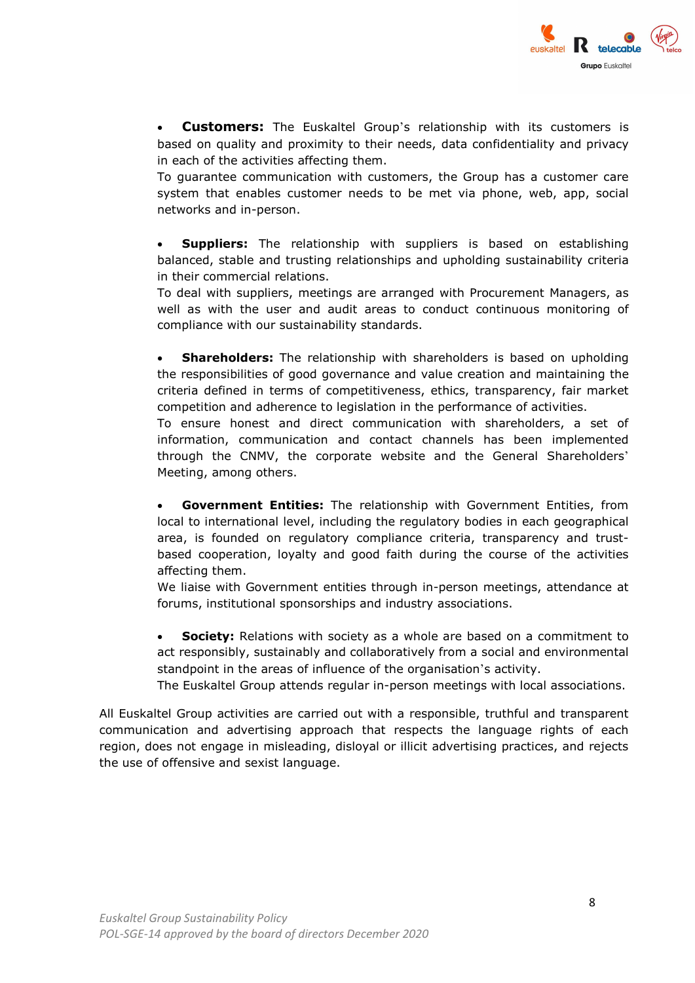

**Customers:** The Euskaltel Group's relationship with its customers is based on quality and proximity to their needs, data confidentiality and privacy in each of the activities affecting them.

To guarantee communication with customers, the Group has a customer care system that enables customer needs to be met via phone, web, app, social networks and in-person.

**Suppliers:** The relationship with suppliers is based on establishing balanced, stable and trusting relationships and upholding sustainability criteria in their commercial relations.

To deal with suppliers, meetings are arranged with Procurement Managers, as well as with the user and audit areas to conduct continuous monitoring of compliance with our sustainability standards.

**Shareholders:** The relationship with shareholders is based on upholding the responsibilities of good governance and value creation and maintaining the criteria defined in terms of competitiveness, ethics, transparency, fair market competition and adherence to legislation in the performance of activities.

To ensure honest and direct communication with shareholders, a set of information, communication and contact channels has been implemented through the CNMV, the corporate website and the General Shareholders' Meeting, among others.

**Government Entities:** The relationship with Government Entities, from local to international level, including the regulatory bodies in each geographical area, is founded on regulatory compliance criteria, transparency and trustbased cooperation, loyalty and good faith during the course of the activities affecting them.

We liaise with Government entities through in-person meetings, attendance at forums, institutional sponsorships and industry associations.

• Society: Relations with society as a whole are based on a commitment to act responsibly, sustainably and collaboratively from a social and environmental standpoint in the areas of influence of the organisation's activity.

The Euskaltel Group attends regular in-person meetings with local associations.

All Euskaltel Group activities are carried out with a responsible, truthful and transparent communication and advertising approach that respects the language rights of each region, does not engage in misleading, disloyal or illicit advertising practices, and rejects the use of offensive and sexist language.